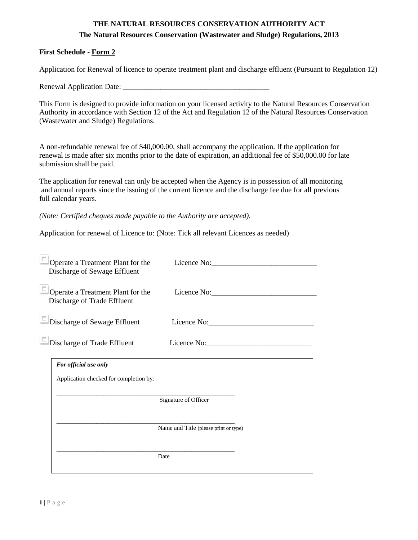# **THE NATURAL RESOURCES CONSERVATION AUTHORITY ACT The Natural Resources Conservation (Wastewater and Sludge) Regulations, 2013**

## **First Schedule - Form 2**

Application for Renewal of licence to operate treatment plant and discharge effluent (Pursuant to Regulation 12)

Renewal Application Date: \_\_\_\_\_\_\_\_\_\_\_\_\_\_\_\_\_\_\_\_\_\_\_\_\_\_\_\_\_\_\_\_\_\_\_\_\_\_\_

This Form is designed to provide information on your licensed activity to the Natural Resources Conservation Authority in accordance with Section 12 of the Act and Regulation 12 of the Natural Resources Conservation (Wastewater and Sludge) Regulations.

A non-refundable renewal fee of \$40,000.00, shall accompany the application. If the application for renewal is made after six months prior to the date of expiration, an additional fee of \$50,000.00 for late submission shall be paid.

The application for renewal can only be accepted when the Agency is in possession of all monitoring and annual reports since the issuing of the current licence and the discharge fee due for all previous full calendar years.

*(Note: Certified cheques made payable to the Authority are accepted).*

Application for renewal of Licence to: (Note: Tick all relevant Licences as needed)

| Operate a Treatment Plant for the<br>Discharge of Sewage Effluent | Licence No:                           |
|-------------------------------------------------------------------|---------------------------------------|
| Operate a Treatment Plant for the<br>Discharge of Trade Effluent  | Licence No:                           |
| Discharge of Sewage Effluent                                      | Licence No:                           |
| Discharge of Trade Effluent                                       | Licence No:                           |
| For official use only                                             |                                       |
| Application checked for completion by:                            |                                       |
|                                                                   | Signature of Officer                  |
|                                                                   | Name and Title (please print or type) |
|                                                                   | Date                                  |
|                                                                   |                                       |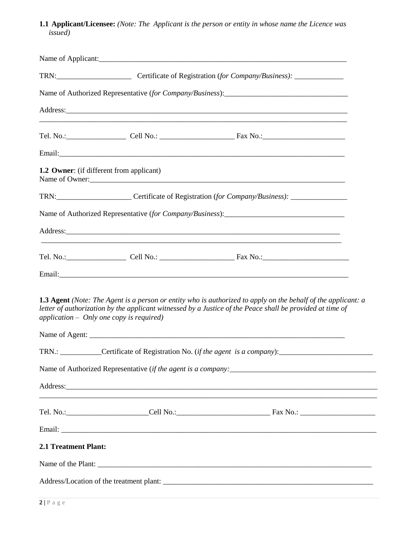**1.1 Applicant/Licensee:** *(Note: The Applicant is the person or entity in whose name the Licence was issued)*

|                      |                                                 | Name of Applicant:                                                                                                                                                                                                                                                                                                  |
|----------------------|-------------------------------------------------|---------------------------------------------------------------------------------------------------------------------------------------------------------------------------------------------------------------------------------------------------------------------------------------------------------------------|
|                      |                                                 | TRN: Certificate of Registration (for Company/Business): _______________________                                                                                                                                                                                                                                    |
|                      |                                                 |                                                                                                                                                                                                                                                                                                                     |
|                      |                                                 | Address: Andreas Address: Address: Address: Address: Address: Address: Address: Address: Address: Address: Address: Address: Address: Address: Address: Address: Address: Address: Address: Address: Address: Address: Address                                                                                      |
|                      |                                                 |                                                                                                                                                                                                                                                                                                                     |
|                      |                                                 | Email: <u>Alexander Adam and Alexander Adam and Alexander Adam and Alexander Adam and Alexander Adam and Alexander Adam and Alexander Adam and Alexander Adam and Alexander Adam and Alexander Adam and Alexander Adam and Alexa</u>                                                                                |
|                      | <b>1.2 Owner:</b> (if different from applicant) |                                                                                                                                                                                                                                                                                                                     |
|                      |                                                 | TRN: Certificate of Registration (for Company/Business): _______________________                                                                                                                                                                                                                                    |
|                      |                                                 |                                                                                                                                                                                                                                                                                                                     |
|                      |                                                 | Address: 2008 and 2008 and 2008 and 2008 and 2008 and 2008 and 2008 and 2008 and 2008 and 2008 and 2008 and 20                                                                                                                                                                                                      |
|                      |                                                 |                                                                                                                                                                                                                                                                                                                     |
|                      |                                                 |                                                                                                                                                                                                                                                                                                                     |
|                      | application - Only one copy is required)        | <b>1.3 Agent</b> (Note: The Agent is a person or entity who is authorized to apply on the behalf of the applicant: a<br>letter of authorization by the applicant witnessed by a Justice of the Peace shall be provided at time of                                                                                   |
|                      |                                                 |                                                                                                                                                                                                                                                                                                                     |
|                      |                                                 | TRN.: ___________Certificate of Registration No. (if the agent is a company):_______________________                                                                                                                                                                                                                |
|                      |                                                 |                                                                                                                                                                                                                                                                                                                     |
|                      |                                                 | Address: Note that the contract of the contract of the contract of the contract of the contract of the contract of the contract of the contract of the contract of the contract of the contract of the contract of the contrac<br>,我们也不能在这里的人,我们也不能在这里的人,我们也不能在这里的人,我们也不能在这里的人,我们也不能在这里的人,我们也不能在这里的人,我们也不能在这里的人,我们也 |
|                      |                                                 |                                                                                                                                                                                                                                                                                                                     |
|                      |                                                 |                                                                                                                                                                                                                                                                                                                     |
| 2.1 Treatment Plant: |                                                 |                                                                                                                                                                                                                                                                                                                     |
|                      |                                                 |                                                                                                                                                                                                                                                                                                                     |
|                      |                                                 |                                                                                                                                                                                                                                                                                                                     |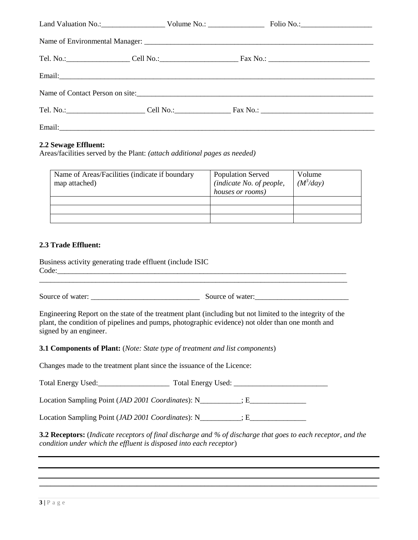### **2.2 Sewage Effluent:**

Areas/facilities served by the Plant: *(attach additional pages as needed)*

| Name of Areas/Facilities (indicate if boundary<br>map attached) | <b>Population Served</b><br>(indicate No. of people,<br>houses or rooms) | Volume<br>$(M^3$ /day) |
|-----------------------------------------------------------------|--------------------------------------------------------------------------|------------------------|
|                                                                 |                                                                          |                        |
|                                                                 |                                                                          |                        |
|                                                                 |                                                                          |                        |

#### **2.3 Trade Effluent:**

Business activity generating trade effluent (include ISIC Code:\_\_\_\_\_\_\_\_\_\_\_\_\_\_\_\_\_\_\_\_\_\_\_\_\_\_\_\_\_\_\_\_\_\_\_\_\_\_\_\_\_\_\_\_\_\_\_\_\_\_\_\_\_\_\_\_\_\_\_\_\_\_\_\_\_\_\_\_\_\_\_\_\_\_\_\_\_

Source of water: <br>Source of water:

Engineering Report on the state of the treatment plant (including but not limited to the integrity of the plant, the condition of pipelines and pumps, photographic evidence) not older than one month and signed by an engineer.

**3.1 Components of Plant:** (*Note: State type of treatment and list components*)

Changes made to the treatment plant since the issuance of the Licence:

Total Energy Used:\_\_\_\_\_\_\_\_\_\_\_\_\_\_\_\_\_\_\_ Total Energy Used: \_\_\_\_\_\_\_\_\_\_\_\_\_\_\_\_\_\_\_\_\_\_\_\_\_

Location Sampling Point (*JAD 2001 Coordinates*): N\_\_\_\_\_\_\_\_\_; E\_\_\_\_\_\_\_\_\_\_\_\_\_\_\_\_\_\_\_

Location Sampling Point (*JAD 2001 Coordinates*): N\_\_\_\_\_\_\_\_\_; E\_\_\_\_\_\_\_\_\_\_\_\_\_\_\_\_\_\_\_

**3.2 Receptors:** (*Indicate receptors of final discharge and % of discharge that goes to each receptor, and the condition under which the effluent is disposed into each receptor*)

**\_\_\_\_\_\_\_\_\_\_\_\_\_\_\_\_\_\_\_\_\_\_\_\_\_\_\_\_\_\_\_\_\_\_\_\_\_\_\_\_\_\_\_\_\_\_\_\_\_\_\_\_\_\_\_\_\_\_\_\_\_\_\_\_\_\_\_\_\_\_\_\_\_\_\_\_\_\_\_\_\_\_\_\_\_\_\_\_\_\_**